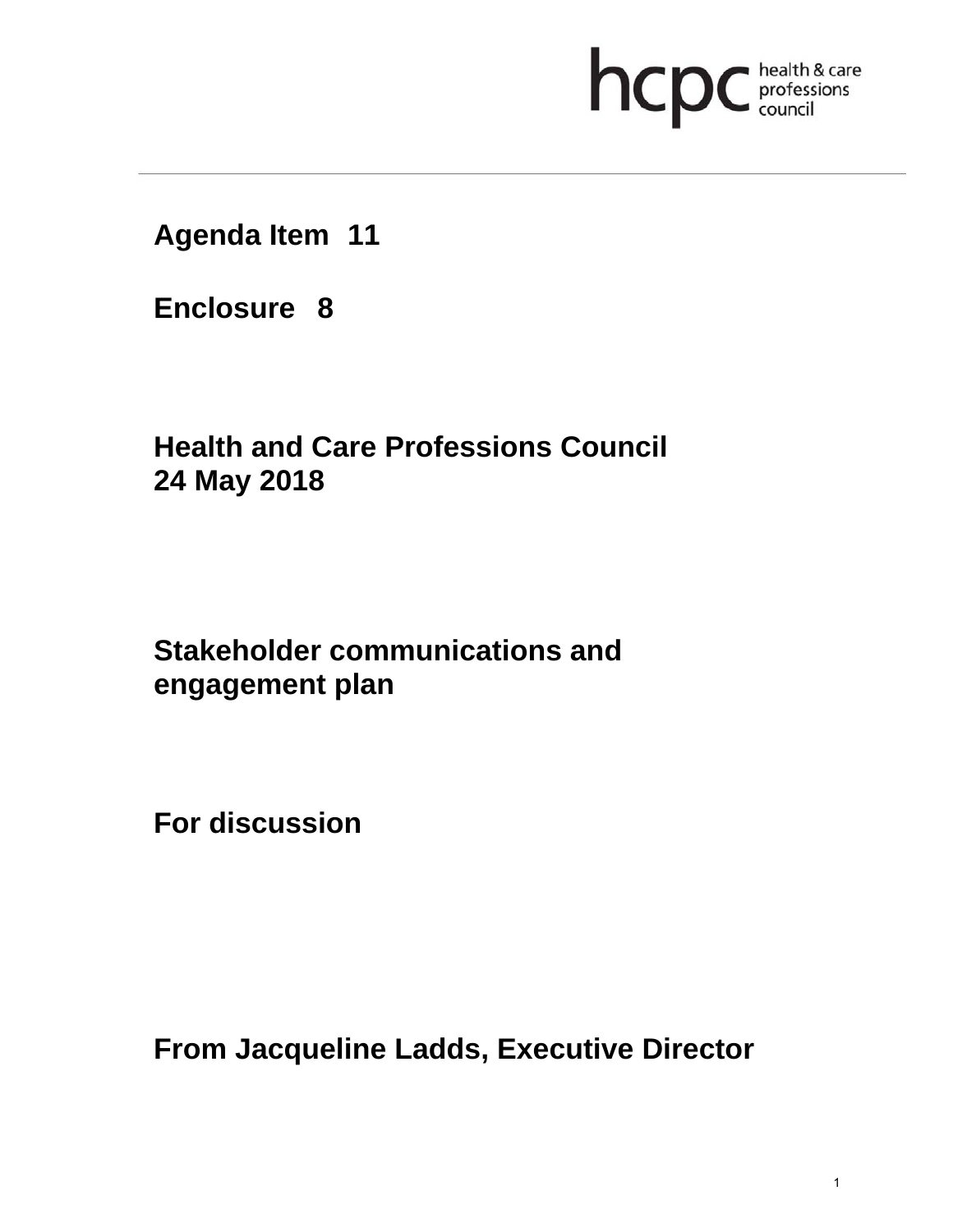# **health & care**

**Agenda Item 11** 

**Enclosure 8**

## **Health and Care Professions Council 24 May 2018**

### **Stakeholder communications and engagement plan**

**For discussion** 

**From Jacqueline Ladds, Executive Director**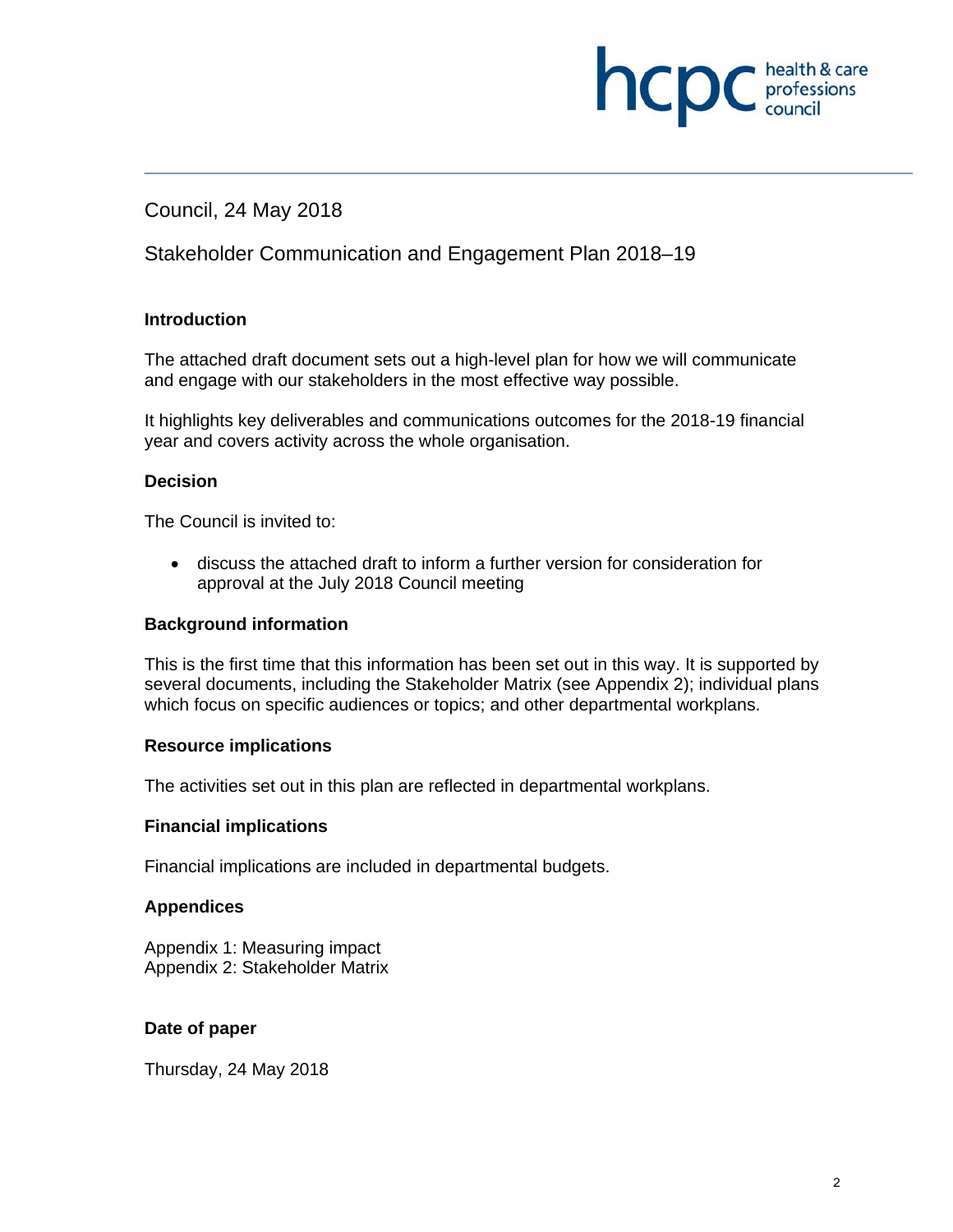## health & care **INCDC** professions

#### Council, 24 May 2018

#### Stakeholder Communication and Engagement Plan 2018–19

#### **Introduction**

The attached draft document sets out a high-level plan for how we will communicate and engage with our stakeholders in the most effective way possible.

It highlights key deliverables and communications outcomes for the 2018-19 financial year and covers activity across the whole organisation.

#### **Decision**

The Council is invited to:

 discuss the attached draft to inform a further version for consideration for approval at the July 2018 Council meeting

#### **Background information**

This is the first time that this information has been set out in this way. It is supported by several documents, including the Stakeholder Matrix (see Appendix 2); individual plans which focus on specific audiences or topics; and other departmental workplans.

#### **Resource implications**

The activities set out in this plan are reflected in departmental workplans.

#### **Financial implications**

Financial implications are included in departmental budgets.

#### **Appendices**

Appendix 1: Measuring impact Appendix 2: Stakeholder Matrix

#### **Date of paper**

Thursday, 24 May 2018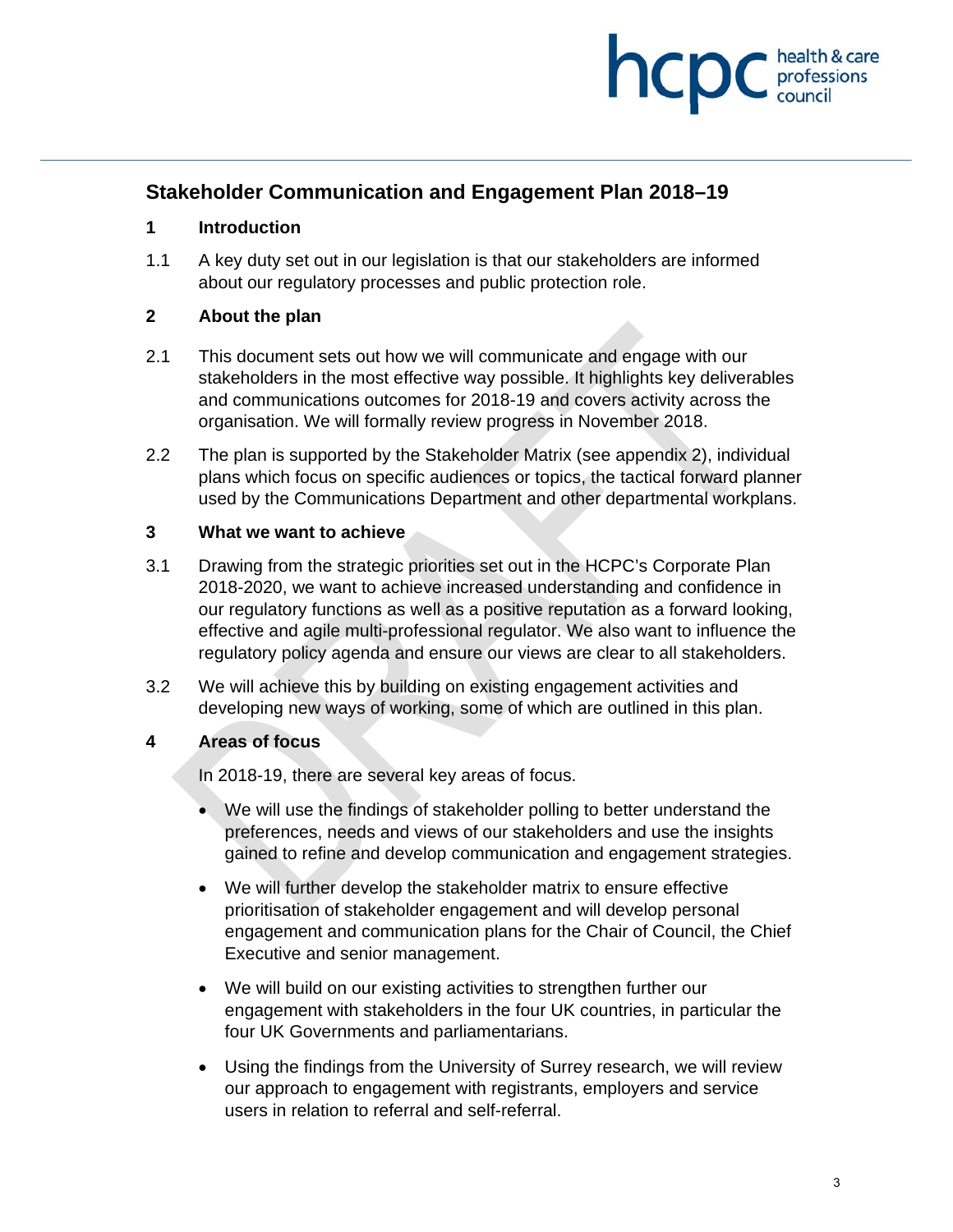

#### **Stakeholder Communication and Engagement Plan 2018–19**

#### **1 Introduction**

1.1 A key duty set out in our legislation is that our stakeholders are informed about our regulatory processes and public protection role.

#### **2 About the plan**

- 2.1 This document sets out how we will communicate and engage with our stakeholders in the most effective way possible. It highlights key deliverables and communications outcomes for 2018-19 and covers activity across the organisation. We will formally review progress in November 2018.
- 2.2 The plan is supported by the Stakeholder Matrix (see appendix 2), individual plans which focus on specific audiences or topics, the tactical forward planner used by the Communications Department and other departmental workplans.

#### **3 What we want to achieve**

- 3.1 Drawing from the strategic priorities set out in the HCPC's Corporate Plan 2018-2020, we want to achieve increased understanding and confidence in our regulatory functions as well as a positive reputation as a forward looking, effective and agile multi-professional regulator. We also want to influence the regulatory policy agenda and ensure our views are clear to all stakeholders.
- 3.2 We will achieve this by building on existing engagement activities and developing new ways of working, some of which are outlined in this plan.

#### **4 Areas of focus**

In 2018-19, there are several key areas of focus.

- We will use the findings of stakeholder polling to better understand the preferences, needs and views of our stakeholders and use the insights gained to refine and develop communication and engagement strategies.
- We will further develop the stakeholder matrix to ensure effective prioritisation of stakeholder engagement and will develop personal engagement and communication plans for the Chair of Council, the Chief Executive and senior management.
- We will build on our existing activities to strengthen further our engagement with stakeholders in the four UK countries, in particular the four UK Governments and parliamentarians.
- Using the findings from the University of Surrey research, we will review our approach to engagement with registrants, employers and service users in relation to referral and self-referral.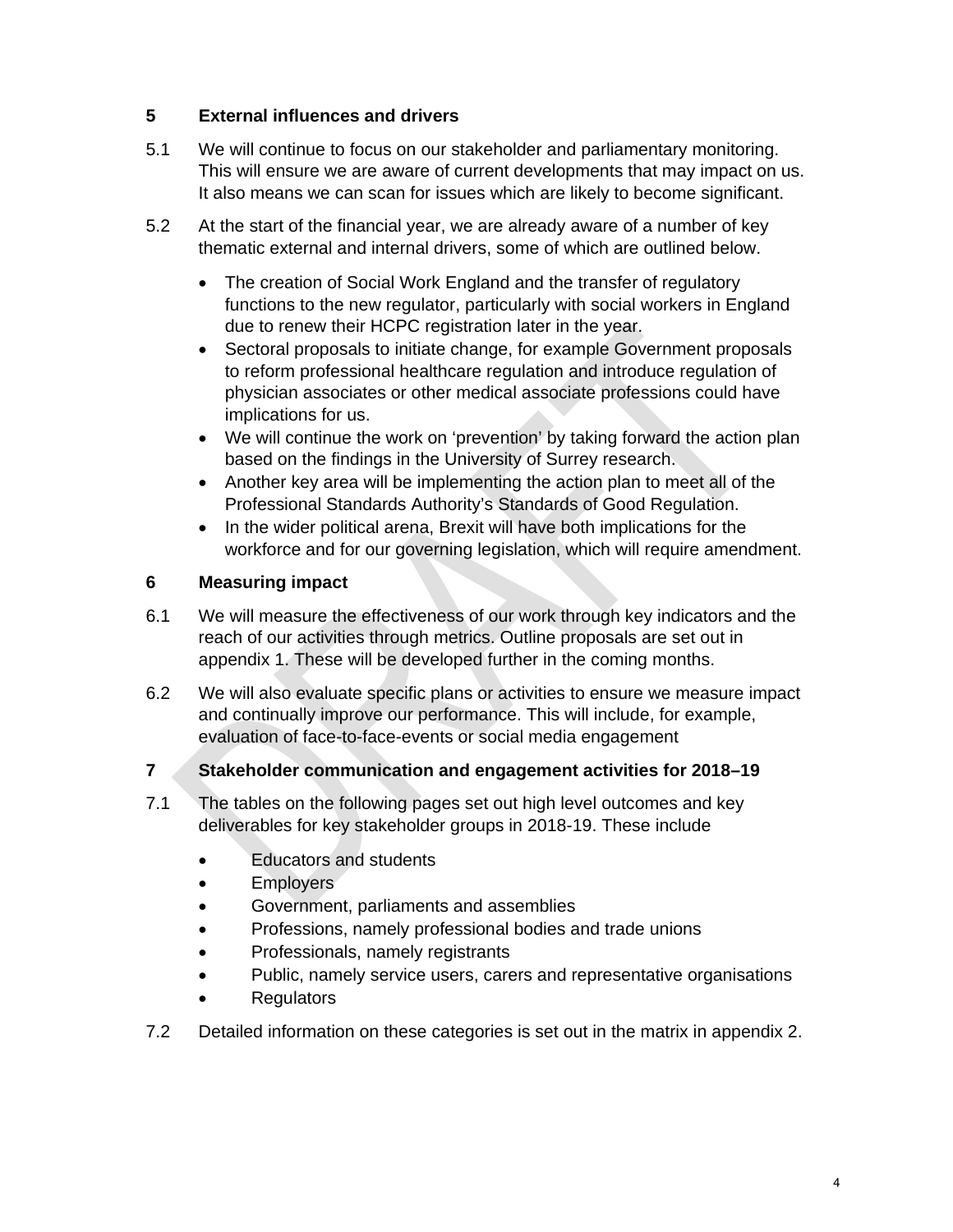#### **5 External influences and drivers**

- 5.1 We will continue to focus on our stakeholder and parliamentary monitoring. This will ensure we are aware of current developments that may impact on us. It also means we can scan for issues which are likely to become significant.
- 5.2 At the start of the financial year, we are already aware of a number of key thematic external and internal drivers, some of which are outlined below.
	- The creation of Social Work England and the transfer of regulatory functions to the new regulator, particularly with social workers in England due to renew their HCPC registration later in the year.
	- Sectoral proposals to initiate change, for example Government proposals to reform professional healthcare regulation and introduce regulation of physician associates or other medical associate professions could have implications for us.
	- We will continue the work on 'prevention' by taking forward the action plan based on the findings in the University of Surrey research.
	- Another key area will be implementing the action plan to meet all of the Professional Standards Authority's Standards of Good Regulation.
	- In the wider political arena, Brexit will have both implications for the workforce and for our governing legislation, which will require amendment.

#### **6 Measuring impact**

- 6.1 We will measure the effectiveness of our work through key indicators and the reach of our activities through metrics. Outline proposals are set out in appendix 1. These will be developed further in the coming months.
- 6.2 We will also evaluate specific plans or activities to ensure we measure impact and continually improve our performance. This will include, for example, evaluation of face-to-face-events or social media engagement

#### **7 Stakeholder communication and engagement activities for 2018–19**

- 7.1 The tables on the following pages set out high level outcomes and key deliverables for key stakeholder groups in 2018-19. These include
	- Educators and students
	- **Employers**
	- Government, parliaments and assemblies
	- Professions, namely professional bodies and trade unions
	- Professionals, namely registrants
	- Public, namely service users, carers and representative organisations
	- **Regulators**
- 7.2 Detailed information on these categories is set out in the matrix in appendix 2.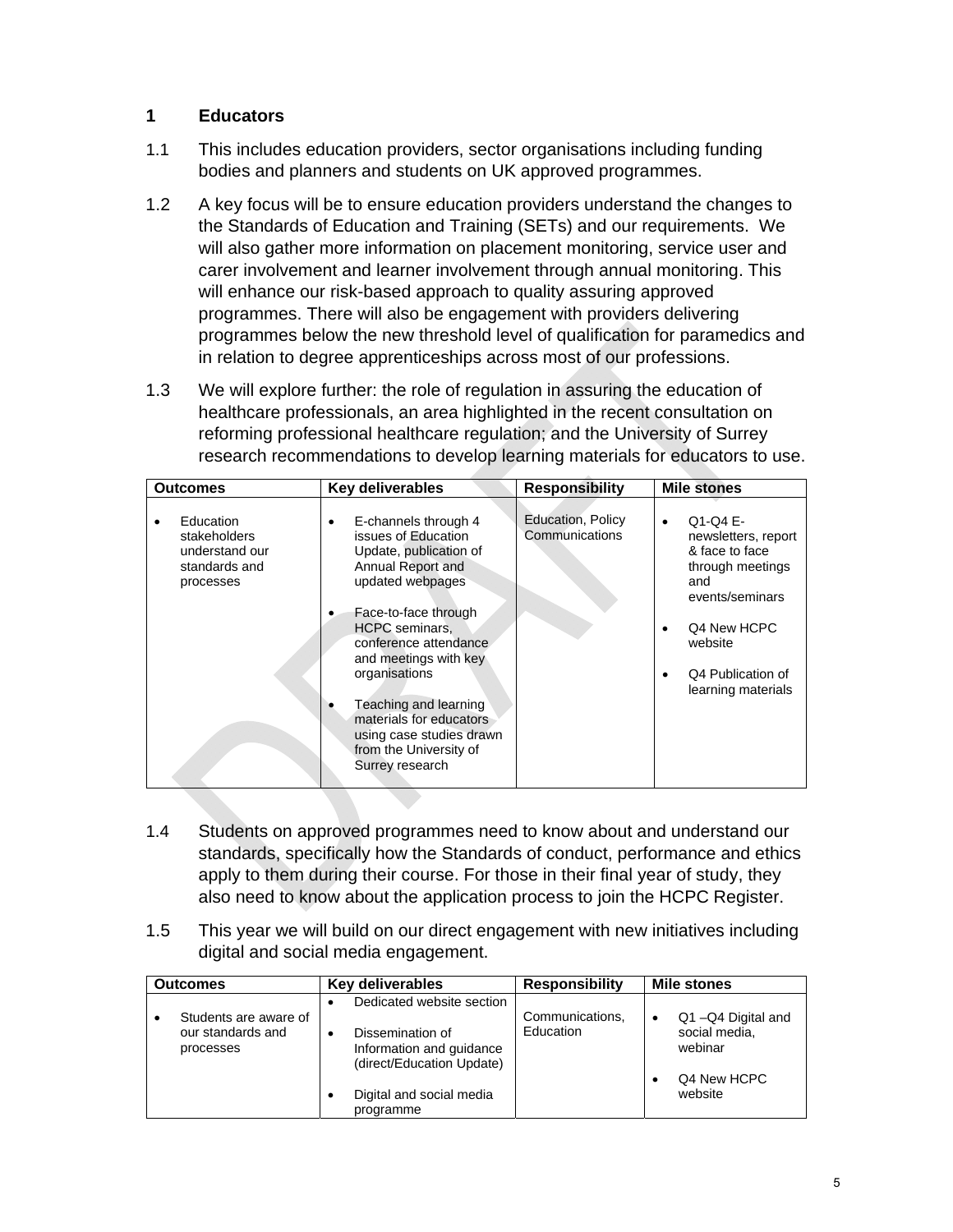#### **1 Educators**

- 1.1 This includes education providers, sector organisations including funding bodies and planners and students on UK approved programmes.
- 1.2 A key focus will be to ensure education providers understand the changes to the Standards of Education and Training (SETs) and our requirements. We will also gather more information on placement monitoring, service user and carer involvement and learner involvement through annual monitoring. This will enhance our risk-based approach to quality assuring approved programmes. There will also be engagement with providers delivering programmes below the new threshold level of qualification for paramedics and in relation to degree apprenticeships across most of our professions.
- 1.3 We will explore further: the role of regulation in assuring the education of healthcare professionals, an area highlighted in the recent consultation on reforming professional healthcare regulation; and the University of Surrey research recommendations to develop learning materials for educators to use.

| Outcomes                                                                  | <b>Key deliverables</b>                                                                                                                                                                                                                                                                                                                                          | <b>Responsibility</b>               | <b>Mile stones</b>                                                                                                                                                                          |
|---------------------------------------------------------------------------|------------------------------------------------------------------------------------------------------------------------------------------------------------------------------------------------------------------------------------------------------------------------------------------------------------------------------------------------------------------|-------------------------------------|---------------------------------------------------------------------------------------------------------------------------------------------------------------------------------------------|
| Education<br>stakeholders<br>understand our<br>standards and<br>processes | E-channels through 4<br>issues of Education<br>Update, publication of<br>Annual Report and<br>updated webpages<br>Face-to-face through<br><b>HCPC</b> seminars.<br>conference attendance.<br>and meetings with key<br>organisations<br>Teaching and learning<br>materials for educators<br>using case studies drawn<br>from the University of<br>Surrey research | Education, Policy<br>Communications | Q1-Q4 E-<br>$\bullet$<br>newsletters, report<br>& face to face<br>through meetings<br>and<br>events/seminars<br>Q4 New HCPC<br>٠<br>website<br>Q4 Publication of<br>٠<br>learning materials |

- 1.4 Students on approved programmes need to know about and understand our standards, specifically how the Standards of conduct, performance and ethics apply to them during their course. For those in their final year of study, they also need to know about the application process to join the HCPC Register.
- 1.5 This year we will build on our direct engagement with new initiatives including digital and social media engagement.

| <b>Outcomes</b>                                         | Key deliverables                                                                                       | <b>Responsibility</b>        | <b>Mile stones</b>                            |  |
|---------------------------------------------------------|--------------------------------------------------------------------------------------------------------|------------------------------|-----------------------------------------------|--|
| Students are aware of<br>our standards and<br>processes | Dedicated website section<br>Dissemination of<br>Information and guidance<br>(direct/Education Update) | Communications,<br>Education | Q1-Q4 Digital and<br>social media,<br>webinar |  |
|                                                         | Digital and social media<br>programme                                                                  |                              | Q4 New HCPC<br>website                        |  |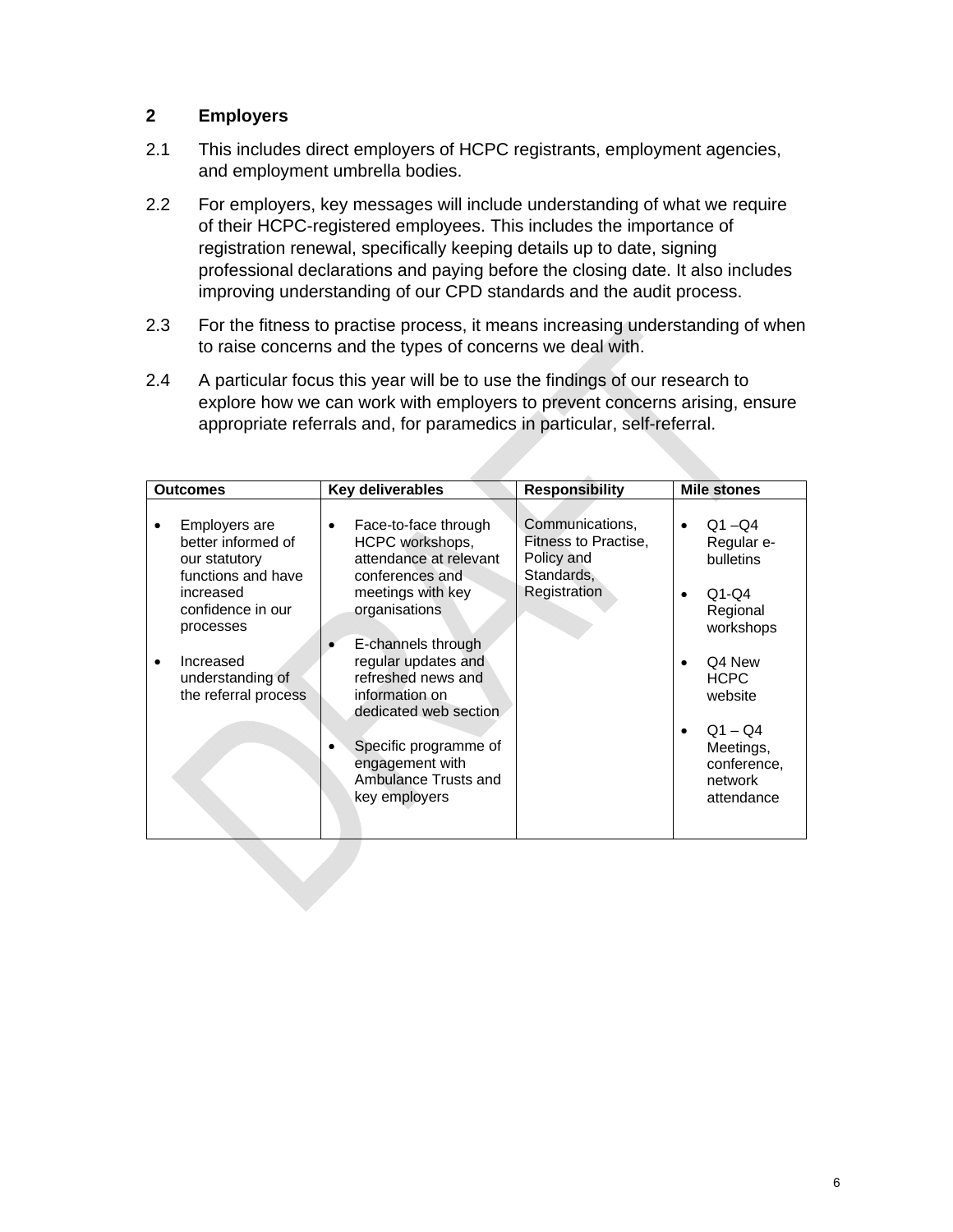#### **2 Employers**

- 2.1 This includes direct employers of HCPC registrants, employment agencies, and employment umbrella bodies.
- 2.2 For employers, key messages will include understanding of what we require of their HCPC-registered employees. This includes the importance of registration renewal, specifically keeping details up to date, signing professional declarations and paying before the closing date. It also includes improving understanding of our CPD standards and the audit process.
- 2.3 For the fitness to practise process, it means increasing understanding of when to raise concerns and the types of concerns we deal with.
- 2.4 A particular focus this year will be to use the findings of our research to explore how we can work with employers to prevent concerns arising, ensure appropriate referrals and, for paramedics in particular, self-referral.

| Outcomes                                                                                                                                                                           | <b>Key deliverables</b>                                                                                                                                                                                                                                                                                                       | <b>Responsibility</b>                                                               | <b>Mile stones</b>                                                                                                                                                             |
|------------------------------------------------------------------------------------------------------------------------------------------------------------------------------------|-------------------------------------------------------------------------------------------------------------------------------------------------------------------------------------------------------------------------------------------------------------------------------------------------------------------------------|-------------------------------------------------------------------------------------|--------------------------------------------------------------------------------------------------------------------------------------------------------------------------------|
| Employers are<br>better informed of<br>our statutory<br>functions and have<br>increased<br>confidence in our<br>processes<br>Increased<br>understanding of<br>the referral process | Face-to-face through<br>HCPC workshops,<br>attendance at relevant<br>conferences and<br>meetings with key<br>organisations<br>E-channels through<br>regular updates and<br>refreshed news and<br>information on<br>dedicated web section<br>Specific programme of<br>engagement with<br>Ambulance Trusts and<br>key employers | Communications,<br>Fitness to Practise,<br>Policy and<br>Standards,<br>Registration | $Q1 - Q4$<br>Regular e-<br>bulletins<br>$Q1-Q4$<br>Regional<br>workshops<br>Q4 New<br><b>HCPC</b><br>website<br>$Q1 - Q4$<br>Meetings,<br>conference,<br>network<br>attendance |
|                                                                                                                                                                                    |                                                                                                                                                                                                                                                                                                                               |                                                                                     |                                                                                                                                                                                |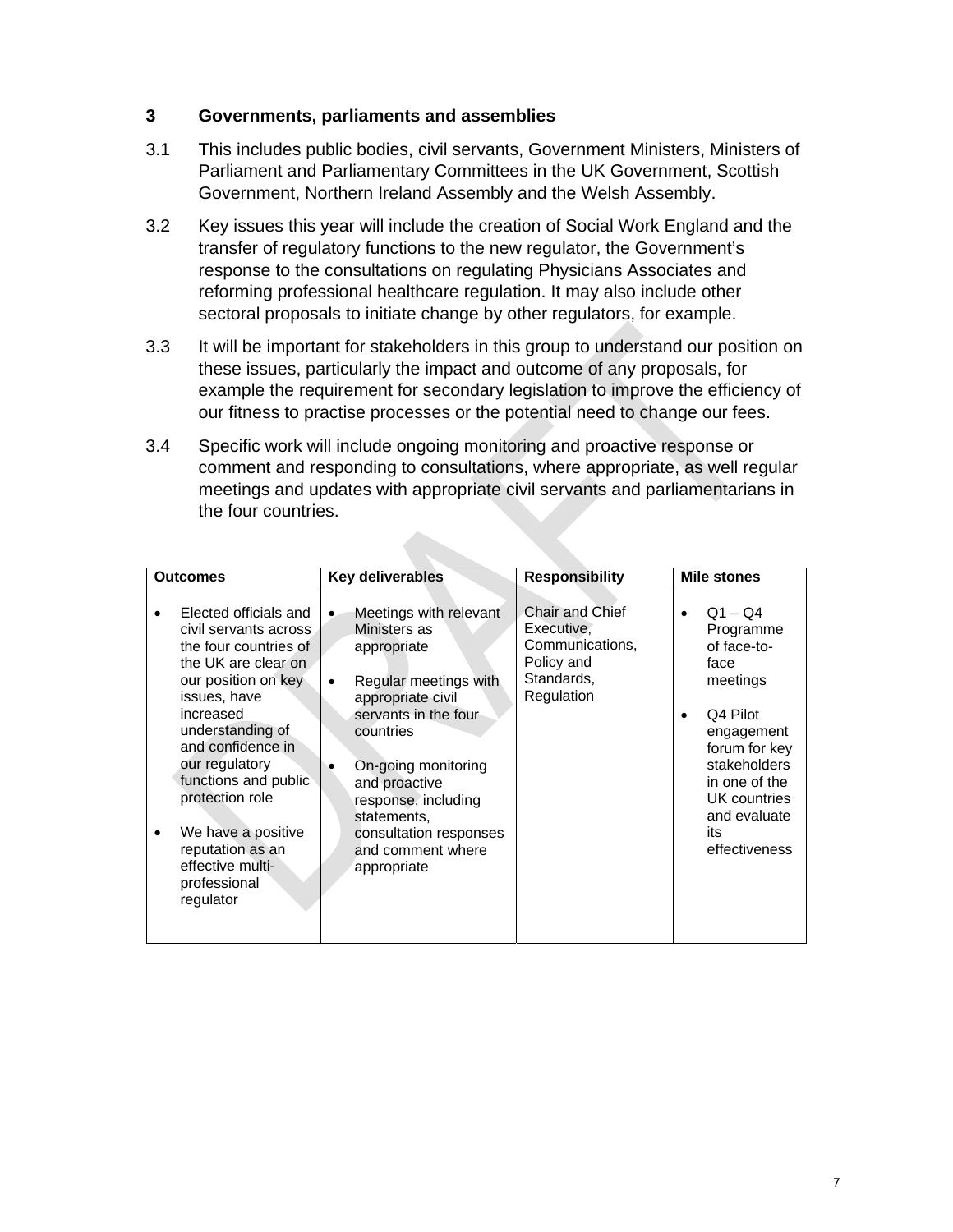#### **3 Governments, parliaments and assemblies**

- 3.1 This includes public bodies, civil servants, Government Ministers, Ministers of Parliament and Parliamentary Committees in the UK Government, Scottish Government, Northern Ireland Assembly and the Welsh Assembly.
- 3.2 Key issues this year will include the creation of Social Work England and the transfer of regulatory functions to the new regulator, the Government's response to the consultations on regulating Physicians Associates and reforming professional healthcare regulation. It may also include other sectoral proposals to initiate change by other regulators, for example.
- 3.3 It will be important for stakeholders in this group to understand our position on these issues, particularly the impact and outcome of any proposals, for example the requirement for secondary legislation to improve the efficiency of our fitness to practise processes or the potential need to change our fees.
- 3.4 Specific work will include ongoing monitoring and proactive response or comment and responding to consultations, where appropriate, as well regular meetings and updates with appropriate civil servants and parliamentarians in the four countries.

| <b>Outcomes</b>                                                                                                                                                                                                                                                                                                                                     | <b>Key deliverables</b>                                                                                                                                                                                                                                                              | <b>Responsibility</b>                                                                             | <b>Mile stones</b>                                                                                                                                                                                         |
|-----------------------------------------------------------------------------------------------------------------------------------------------------------------------------------------------------------------------------------------------------------------------------------------------------------------------------------------------------|--------------------------------------------------------------------------------------------------------------------------------------------------------------------------------------------------------------------------------------------------------------------------------------|---------------------------------------------------------------------------------------------------|------------------------------------------------------------------------------------------------------------------------------------------------------------------------------------------------------------|
| Elected officials and<br>civil servants across<br>the four countries of<br>the UK are clear on<br>our position on key<br>issues, have<br>increased<br>understanding of<br>and confidence in<br>our regulatory<br>functions and public<br>protection role<br>We have a positive<br>reputation as an<br>effective multi-<br>professional<br>regulator | Meetings with relevant<br>Ministers as<br>appropriate<br>Regular meetings with<br>appropriate civil<br>servants in the four<br>countries<br>On-going monitoring<br>and proactive<br>response, including<br>statements,<br>consultation responses<br>and comment where<br>appropriate | <b>Chair and Chief</b><br>Executive,<br>Communications,<br>Policy and<br>Standards,<br>Regulation | $Q1 - Q4$<br>$\bullet$<br>Programme<br>of face-to-<br>face<br>meetings<br>Q4 Pilot<br>engagement<br>forum for key<br>stakeholders<br>in one of the<br>UK countries<br>and evaluate<br>its<br>effectiveness |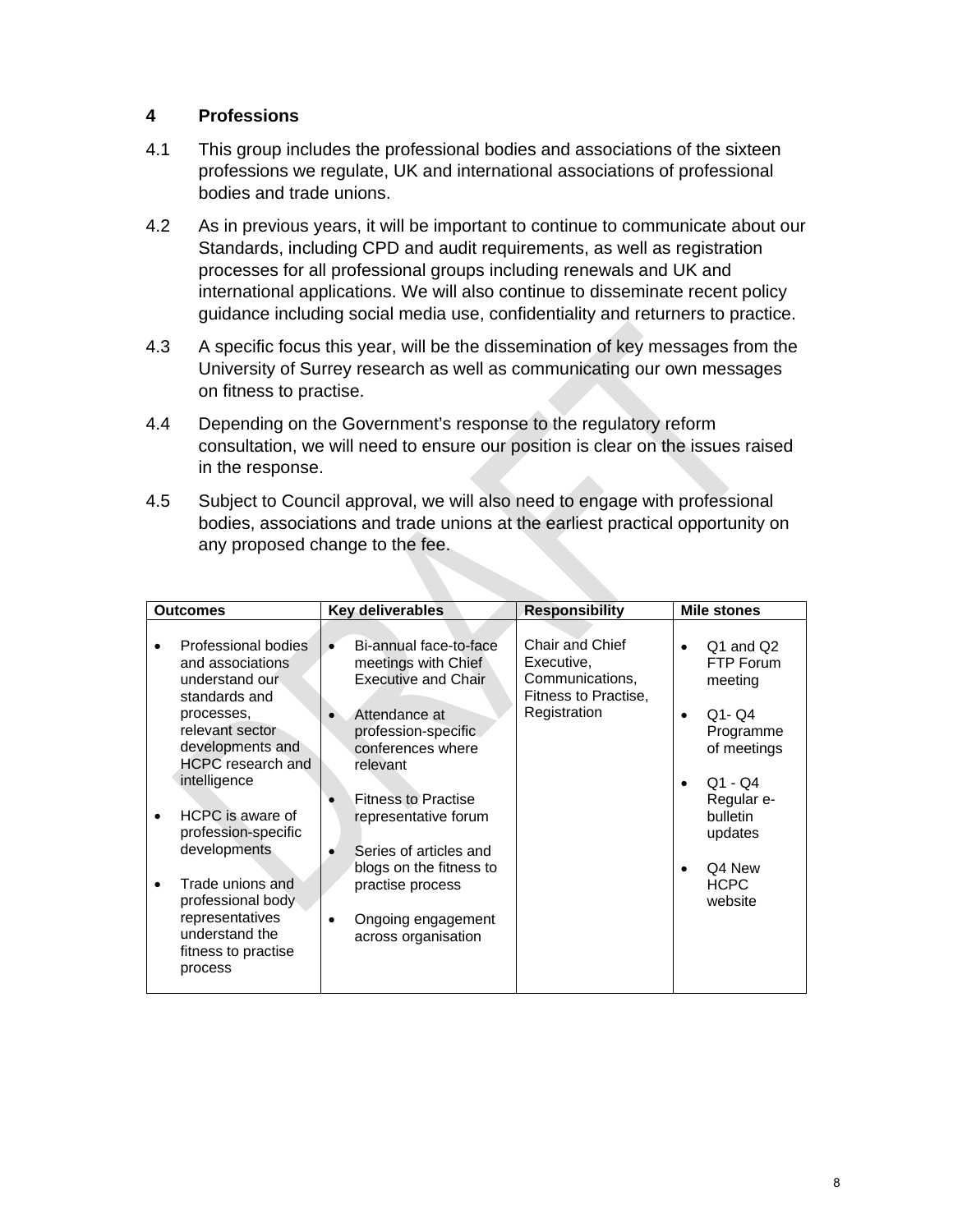#### **4 Professions**

- 4.1 This group includes the professional bodies and associations of the sixteen professions we regulate, UK and international associations of professional bodies and trade unions.
- 4.2 As in previous years, it will be important to continue to communicate about our Standards, including CPD and audit requirements, as well as registration processes for all professional groups including renewals and UK and international applications. We will also continue to disseminate recent policy guidance including social media use, confidentiality and returners to practice.
- 4.3 A specific focus this year, will be the dissemination of key messages from the University of Surrey research as well as communicating our own messages on fitness to practise.
- 4.4 Depending on the Government's response to the regulatory reform consultation, we will need to ensure our position is clear on the issues raised in the response.
- 4.5 Subject to Council approval, we will also need to engage with professional bodies, associations and trade unions at the earliest practical opportunity on any proposed change to the fee.

| <b>Outcomes</b>                                                                                                                                                                                                                                                                                                                                 | Key deliverables                                                                                                                                                                                                                                                                                                                 | <b>Responsibility</b>                                                                    | <b>Mile stones</b>                                                                                                                                                                         |
|-------------------------------------------------------------------------------------------------------------------------------------------------------------------------------------------------------------------------------------------------------------------------------------------------------------------------------------------------|----------------------------------------------------------------------------------------------------------------------------------------------------------------------------------------------------------------------------------------------------------------------------------------------------------------------------------|------------------------------------------------------------------------------------------|--------------------------------------------------------------------------------------------------------------------------------------------------------------------------------------------|
| Professional bodies<br>and associations<br>understand our<br>standards and<br>processes,<br>relevant sector<br>developments and<br>HCPC research and<br>intelligence<br>HCPC is aware of<br>profession-specific<br>developments<br>Trade unions and<br>professional body<br>representatives<br>understand the<br>fitness to practise<br>process | Bi-annual face-to-face<br>meetings with Chief<br><b>Executive and Chair</b><br>Attendance at<br>profession-specific<br>conferences where<br>relevant<br><b>Fitness to Practise</b><br>representative forum<br>Series of articles and<br>blogs on the fitness to<br>practise process<br>Ongoing engagement<br>across organisation | Chair and Chief<br>Executive,<br>Communications,<br>Fitness to Practise,<br>Registration | Q1 and Q2<br>$\bullet$<br>FTP Forum<br>meeting<br>$Q1 - Q4$<br>$\bullet$<br>Programme<br>of meetings<br>$Q1 - Q4$<br>Regular e-<br>bulletin<br>updates<br>Q4 New<br><b>HCPC</b><br>website |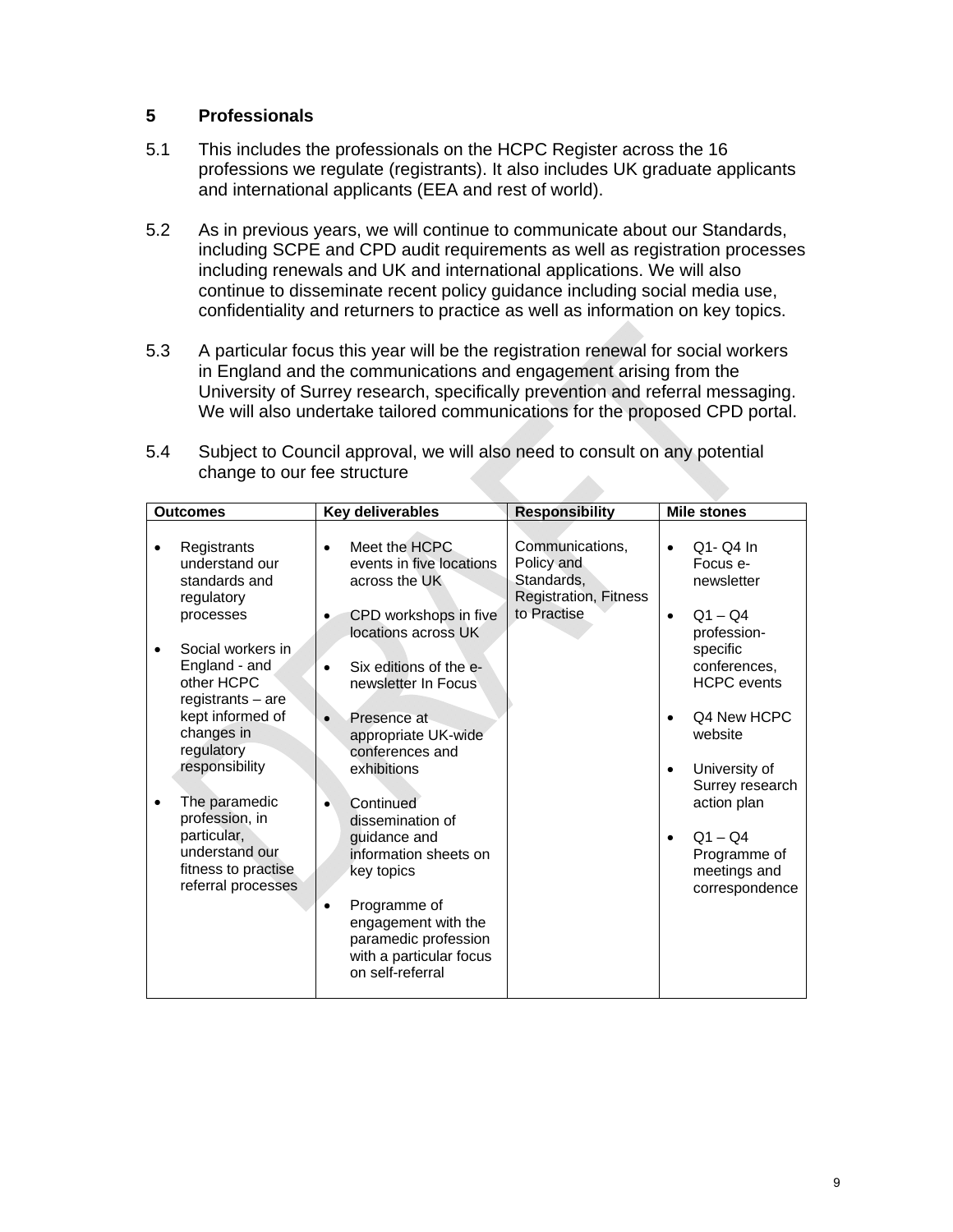#### **5 Professionals**

- 5.1 This includes the professionals on the HCPC Register across the 16 professions we regulate (registrants). It also includes UK graduate applicants and international applicants (EEA and rest of world).
- 5.2 As in previous years, we will continue to communicate about our Standards, including SCPE and CPD audit requirements as well as registration processes including renewals and UK and international applications. We will also continue to disseminate recent policy guidance including social media use, confidentiality and returners to practice as well as information on key topics.
- 5.3 A particular focus this year will be the registration renewal for social workers in England and the communications and engagement arising from the University of Surrey research, specifically prevention and referral messaging. We will also undertake tailored communications for the proposed CPD portal.

| 5.4 | Subject to Council approval, we will also need to consult on any potential |  |  |
|-----|----------------------------------------------------------------------------|--|--|
|     | change to our fee structure                                                |  |  |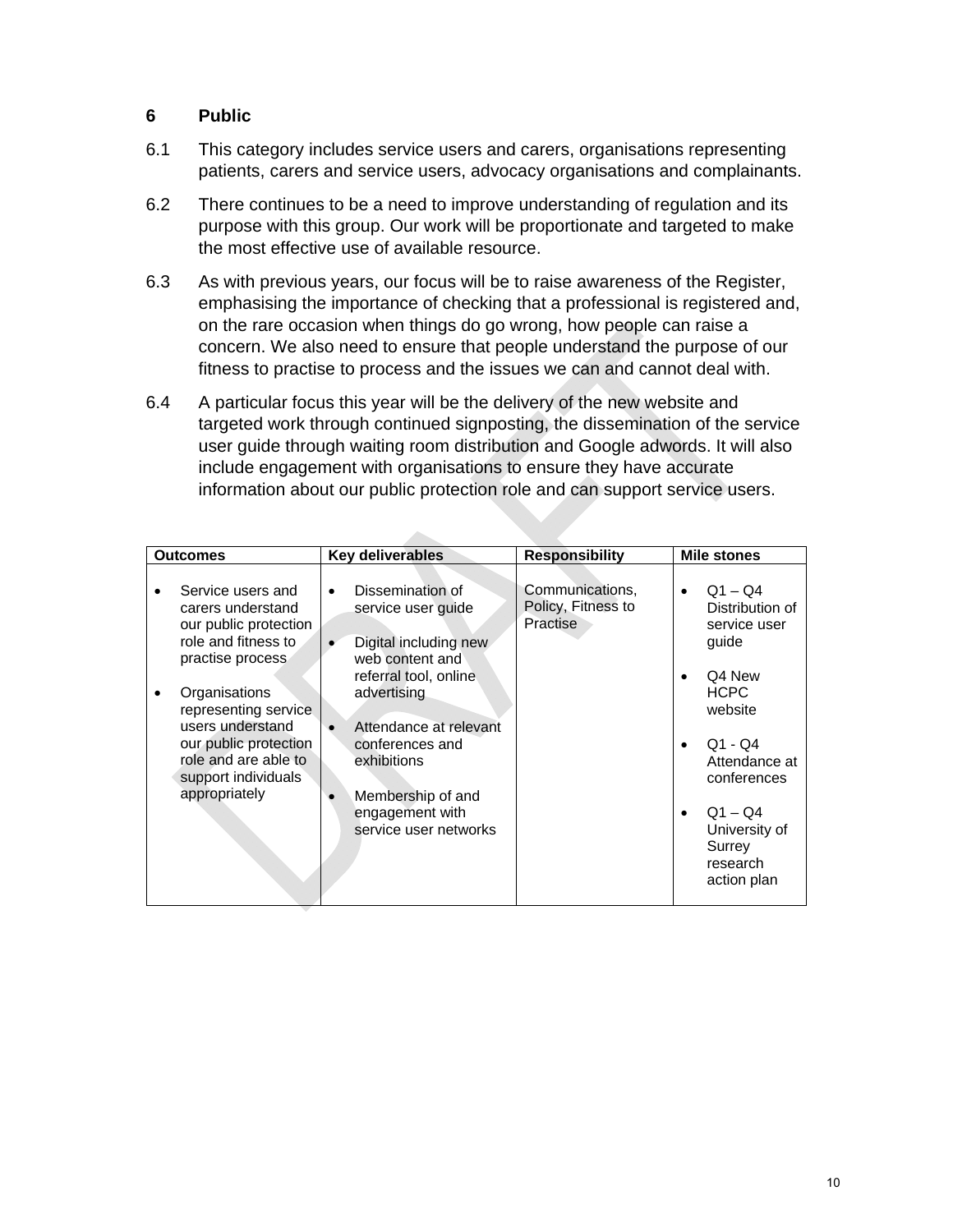#### **6 Public**

- 6.1 This category includes service users and carers, organisations representing patients, carers and service users, advocacy organisations and complainants.
- 6.2 There continues to be a need to improve understanding of regulation and its purpose with this group. Our work will be proportionate and targeted to make the most effective use of available resource.
- 6.3 As with previous years, our focus will be to raise awareness of the Register, emphasising the importance of checking that a professional is registered and, on the rare occasion when things do go wrong, how people can raise a concern. We also need to ensure that people understand the purpose of our fitness to practise to process and the issues we can and cannot deal with.
- 6.4 A particular focus this year will be the delivery of the new website and targeted work through continued signposting, the dissemination of the service user guide through waiting room distribution and Google adwords. It will also include engagement with organisations to ensure they have accurate information about our public protection role and can support service users.

 $\Delta \mathbf{r}_\mathrm{max}$ 

| <b>Outcomes</b>                                                                                                                                                                                                                                                  | Key deliverables                                                                                                                                                                                                                                                     | <b>Responsibility</b>                             | <b>Mile stones</b>                                                                                                                                                                                                     |
|------------------------------------------------------------------------------------------------------------------------------------------------------------------------------------------------------------------------------------------------------------------|----------------------------------------------------------------------------------------------------------------------------------------------------------------------------------------------------------------------------------------------------------------------|---------------------------------------------------|------------------------------------------------------------------------------------------------------------------------------------------------------------------------------------------------------------------------|
| Service users and<br>carers understand<br>our public protection<br>role and fitness to<br>practise process<br>Organisations<br>representing service<br>users understand<br>our public protection<br>role and are able to<br>support individuals<br>appropriately | Dissemination of<br>$\bullet$<br>service user quide<br>Digital including new<br>web content and<br>referral tool, online<br>advertising<br>Attendance at relevant<br>conferences and<br>exhibitions<br>Membership of and<br>engagement with<br>service user networks | Communications,<br>Policy, Fitness to<br>Practise | $Q1 - Q4$<br>$\bullet$<br>Distribution of<br>service user<br>guide<br>Q4 New<br><b>HCPC</b><br>website<br>$Q1 - Q4$<br>Attendance at<br>conferences<br>$Q1 - Q4$<br>University of<br>Surrey<br>research<br>action plan |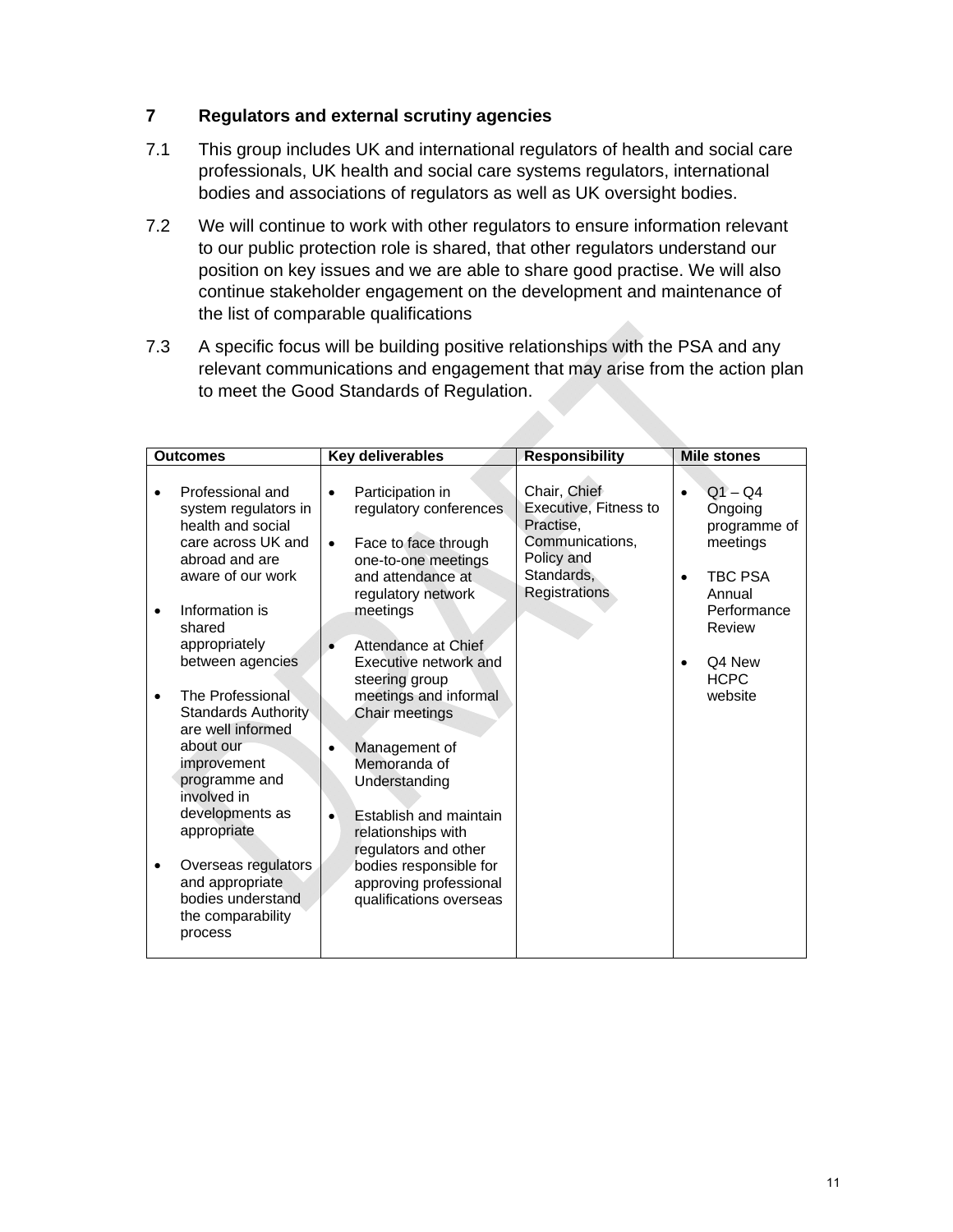#### **7 Regulators and external scrutiny agencies**

- 7.1 This group includes UK and international regulators of health and social care professionals, UK health and social care systems regulators, international bodies and associations of regulators as well as UK oversight bodies.
- 7.2 We will continue to work with other regulators to ensure information relevant to our public protection role is shared, that other regulators understand our position on key issues and we are able to share good practise. We will also continue stakeholder engagement on the development and maintenance of the list of comparable qualifications
- 7.3 A specific focus will be building positive relationships with the PSA and any relevant communications and engagement that may arise from the action plan to meet the Good Standards of Regulation.

| <b>Outcomes</b>                                                                                                                                                                                                                                                                                                                                                                                                                              | Key deliverables                                                                                                                                                                                                                                                                                                                                                                                                                                                                                 | <b>Responsibility</b>                                                                                              | <b>Mile stones</b>                                                                                                                             |
|----------------------------------------------------------------------------------------------------------------------------------------------------------------------------------------------------------------------------------------------------------------------------------------------------------------------------------------------------------------------------------------------------------------------------------------------|--------------------------------------------------------------------------------------------------------------------------------------------------------------------------------------------------------------------------------------------------------------------------------------------------------------------------------------------------------------------------------------------------------------------------------------------------------------------------------------------------|--------------------------------------------------------------------------------------------------------------------|------------------------------------------------------------------------------------------------------------------------------------------------|
| Professional and<br>system regulators in<br>health and social<br>care across UK and<br>abroad and are<br>aware of our work<br>Information is<br>$\bullet$<br>shared<br>appropriately<br>between agencies<br>The Professional<br><b>Standards Authority</b><br>are well informed<br>about our<br>improvement<br>programme and<br>involved in<br>developments as<br>appropriate<br>Overseas regulators<br>and appropriate<br>bodies understand | Participation in<br>regulatory conferences<br>Face to face through<br>$\bullet$<br>one-to-one meetings<br>and attendance at<br>regulatory network<br>meetings<br>Attendance at Chief<br>Executive network and<br>steering group<br>meetings and informal<br>Chair meetings<br>Management of<br>Memoranda of<br>Understanding<br>Establish and maintain<br>$\bullet$<br>relationships with<br>regulators and other<br>bodies responsible for<br>approving professional<br>qualifications overseas | Chair, Chief<br>Executive, Fitness to<br>Practise,<br>Communications,<br>Policy and<br>Standards,<br>Registrations | $Q1 - Q4$<br>Ongoing<br>programme of<br>meetings<br><b>TBC PSA</b><br>٠<br>Annual<br>Performance<br>Review<br>Q4 New<br><b>HCPC</b><br>website |
| the comparability<br>process                                                                                                                                                                                                                                                                                                                                                                                                                 |                                                                                                                                                                                                                                                                                                                                                                                                                                                                                                  |                                                                                                                    |                                                                                                                                                |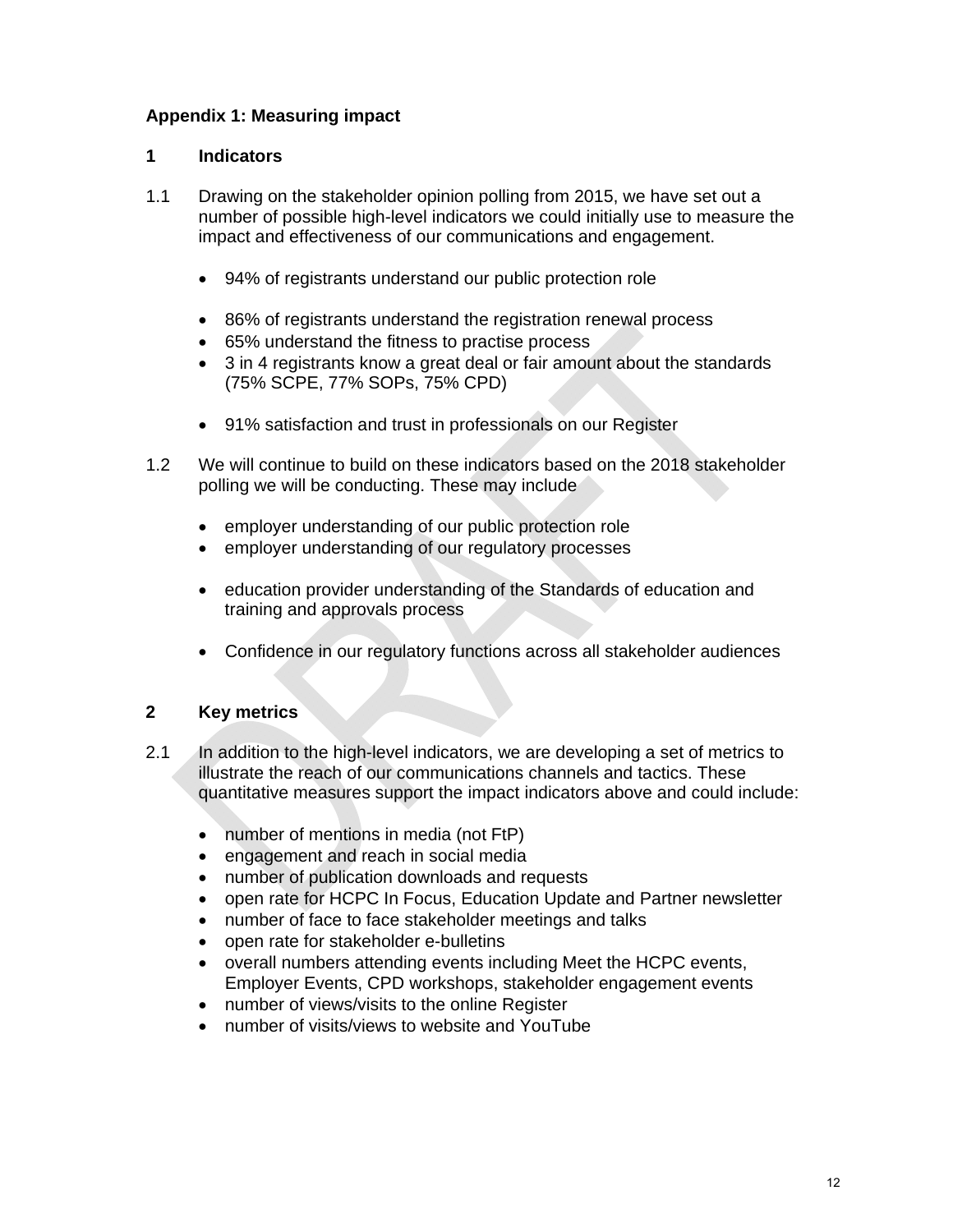#### **Appendix 1: Measuring impact**

#### **1 Indicators**

- 1.1 Drawing on the stakeholder opinion polling from 2015, we have set out a number of possible high-level indicators we could initially use to measure the impact and effectiveness of our communications and engagement.
	- 94% of registrants understand our public protection role
	- 86% of registrants understand the registration renewal process
	- 65% understand the fitness to practise process
	- 3 in 4 registrants know a great deal or fair amount about the standards (75% SCPE, 77% SOPs, 75% CPD)
	- 91% satisfaction and trust in professionals on our Register
- 1.2 We will continue to build on these indicators based on the 2018 stakeholder polling we will be conducting. These may include
	- employer understanding of our public protection role
	- employer understanding of our regulatory processes
	- education provider understanding of the Standards of education and training and approvals process
	- Confidence in our regulatory functions across all stakeholder audiences

#### **2 Key metrics**

- 2.1 In addition to the high-level indicators, we are developing a set of metrics to illustrate the reach of our communications channels and tactics. These quantitative measures support the impact indicators above and could include:
	- number of mentions in media (not FtP)
	- engagement and reach in social media
	- number of publication downloads and requests
	- open rate for HCPC In Focus, Education Update and Partner newsletter
	- number of face to face stakeholder meetings and talks
	- open rate for stakeholder e-bulletins
	- overall numbers attending events including Meet the HCPC events, Employer Events, CPD workshops, stakeholder engagement events
	- number of views/visits to the online Register
	- number of visits/views to website and YouTube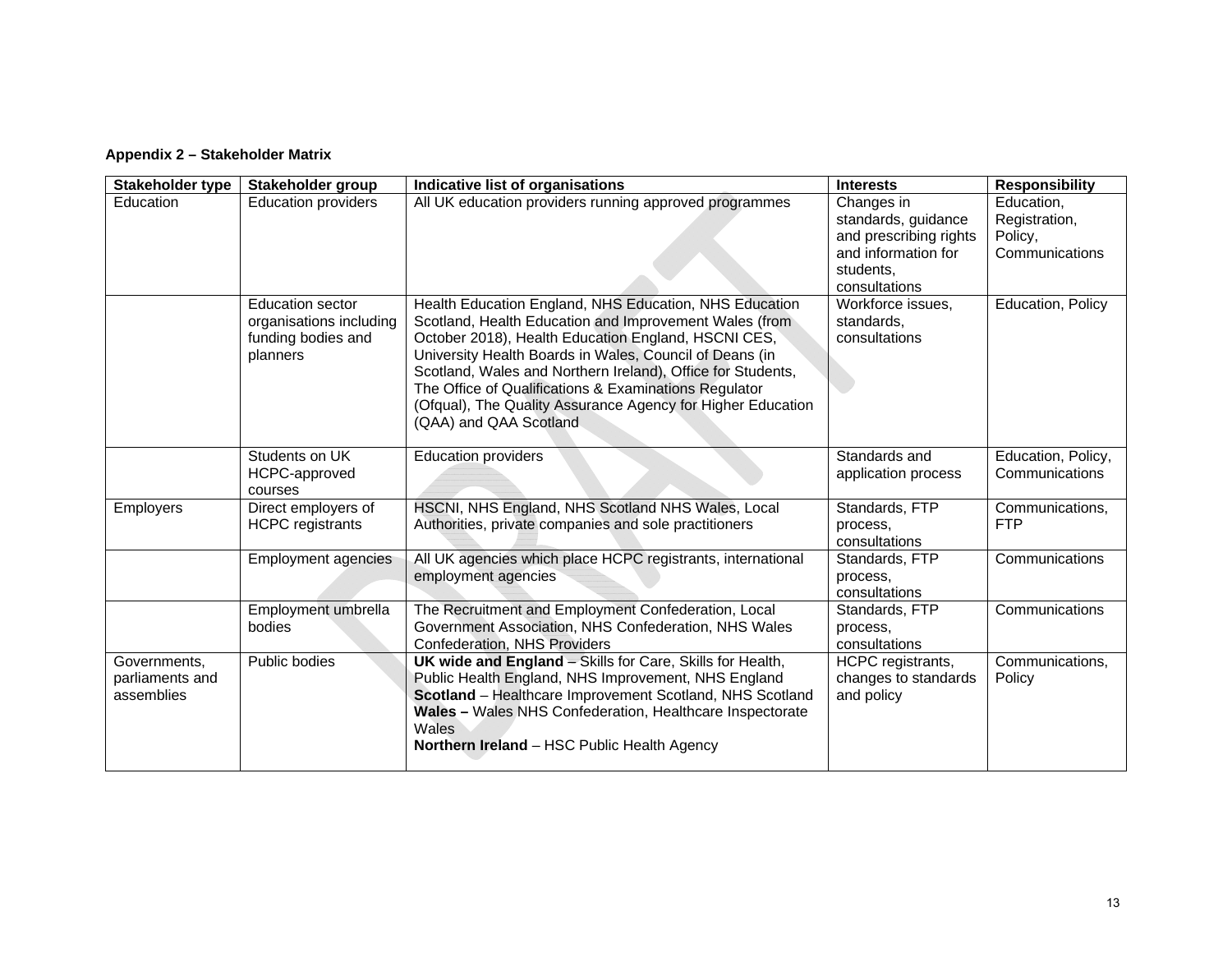#### **Appendix 2 – Stakeholder Matrix**

| Stakeholder type                              | Stakeholder group                                                                    | Indicative list of organisations                                                                                                                                                                                                                                                                                                                                                                                                                    | <b>Interests</b>                                                                                                 | <b>Responsibility</b>                                    |
|-----------------------------------------------|--------------------------------------------------------------------------------------|-----------------------------------------------------------------------------------------------------------------------------------------------------------------------------------------------------------------------------------------------------------------------------------------------------------------------------------------------------------------------------------------------------------------------------------------------------|------------------------------------------------------------------------------------------------------------------|----------------------------------------------------------|
| <b>Education</b>                              | <b>Education providers</b>                                                           | All UK education providers running approved programmes                                                                                                                                                                                                                                                                                                                                                                                              | Changes in<br>standards, guidance<br>and prescribing rights<br>and information for<br>students,<br>consultations | Education,<br>Registration,<br>Policy,<br>Communications |
|                                               | <b>Education sector</b><br>organisations including<br>funding bodies and<br>planners | Health Education England, NHS Education, NHS Education<br>Scotland, Health Education and Improvement Wales (from<br>October 2018), Health Education England, HSCNI CES,<br>University Health Boards in Wales, Council of Deans (in<br>Scotland, Wales and Northern Ireland), Office for Students,<br>The Office of Qualifications & Examinations Regulator<br>(Ofqual), The Quality Assurance Agency for Higher Education<br>(QAA) and QAA Scotland | Workforce issues.<br>standards,<br>consultations                                                                 | Education, Policy                                        |
|                                               | Students on UK<br>HCPC-approved<br>courses                                           | <b>Education providers</b>                                                                                                                                                                                                                                                                                                                                                                                                                          | Standards and<br>application process                                                                             | Education, Policy,<br>Communications                     |
| Employers                                     | Direct employers of<br><b>HCPC</b> registrants                                       | HSCNI, NHS England, NHS Scotland NHS Wales, Local<br>Authorities, private companies and sole practitioners                                                                                                                                                                                                                                                                                                                                          | Standards, FTP<br>process.<br>consultations                                                                      | Communications,<br><b>FTP</b>                            |
|                                               | <b>Employment agencies</b>                                                           | All UK agencies which place HCPC registrants, international<br>employment agencies                                                                                                                                                                                                                                                                                                                                                                  | Standards, FTP<br>process,<br>consultations                                                                      | Communications                                           |
|                                               | Employment umbrella<br>bodies                                                        | The Recruitment and Employment Confederation, Local<br>Government Association, NHS Confederation, NHS Wales<br>Confederation, NHS Providers                                                                                                                                                                                                                                                                                                         | Standards, FTP<br>process,<br>consultations                                                                      | Communications                                           |
| Governments,<br>parliaments and<br>assemblies | Public bodies                                                                        | <b>UK wide and England - Skills for Care, Skills for Health,</b><br>Public Health England, NHS Improvement, NHS England<br>Scotland - Healthcare Improvement Scotland, NHS Scotland<br>Wales - Wales NHS Confederation, Healthcare Inspectorate<br>Wales<br>Northern Ireland - HSC Public Health Agency                                                                                                                                             | HCPC registrants,<br>changes to standards<br>and policy                                                          | Communications,<br>Policy                                |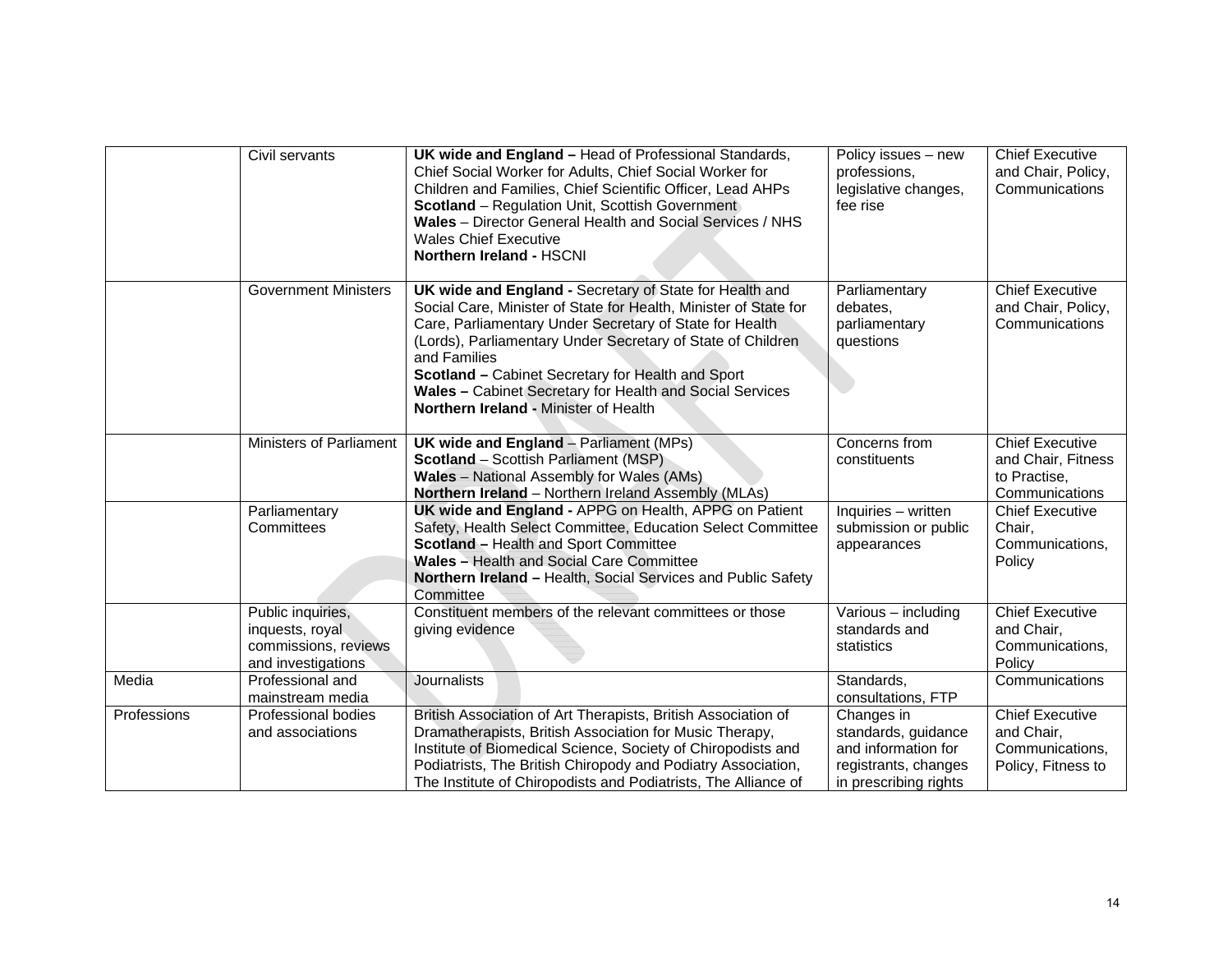|             | Civil servants                                                                     | UK wide and England - Head of Professional Standards,<br>Chief Social Worker for Adults, Chief Social Worker for<br>Children and Families, Chief Scientific Officer, Lead AHPs<br><b>Scotland</b> – Regulation Unit, Scottish Government<br>Wales - Director General Health and Social Services / NHS<br><b>Wales Chief Executive</b><br>Northern Ireland - HSCNI                                                               | Policy issues - new<br>professions,<br>legislative changes,<br>fee rise                                   | <b>Chief Executive</b><br>and Chair, Policy,<br>Communications                 |
|-------------|------------------------------------------------------------------------------------|---------------------------------------------------------------------------------------------------------------------------------------------------------------------------------------------------------------------------------------------------------------------------------------------------------------------------------------------------------------------------------------------------------------------------------|-----------------------------------------------------------------------------------------------------------|--------------------------------------------------------------------------------|
|             | <b>Government Ministers</b>                                                        | UK wide and England - Secretary of State for Health and<br>Social Care, Minister of State for Health, Minister of State for<br>Care, Parliamentary Under Secretary of State for Health<br>(Lords), Parliamentary Under Secretary of State of Children<br>and Families<br>Scotland - Cabinet Secretary for Health and Sport<br>Wales - Cabinet Secretary for Health and Social Services<br>Northern Ireland - Minister of Health | Parliamentary<br>debates,<br>parliamentary<br>questions                                                   | <b>Chief Executive</b><br>and Chair, Policy,<br>Communications                 |
|             | Ministers of Parliament                                                            | <b>UK wide and England</b> - Parliament (MPs)<br><b>Scotland</b> - Scottish Parliament (MSP)<br><b>Wales</b> - National Assembly for Wales (AMs)<br>Northern Ireland - Northern Ireland Assembly (MLAs)                                                                                                                                                                                                                         | Concerns from<br>constituents                                                                             | <b>Chief Executive</b><br>and Chair, Fitness<br>to Practise,<br>Communications |
|             | Parliamentary<br>Committees                                                        | UK wide and England - APPG on Health, APPG on Patient<br>Safety, Health Select Committee, Education Select Committee<br>Scotland - Health and Sport Committee<br>Wales - Health and Social Care Committee<br>Northern Ireland - Health, Social Services and Public Safety<br>Committee                                                                                                                                          | Inquiries - written<br>submission or public<br>appearances                                                | <b>Chief Executive</b><br>Chair,<br>Communications,<br>Policy                  |
|             | Public inquiries,<br>inquests, royal<br>commissions, reviews<br>and investigations | Constituent members of the relevant committees or those<br>giving evidence                                                                                                                                                                                                                                                                                                                                                      | Various - including<br>standards and<br>statistics                                                        | <b>Chief Executive</b><br>and Chair,<br>Communications,<br>Policy              |
| Media       | Professional and<br>mainstream media                                               | Journalists                                                                                                                                                                                                                                                                                                                                                                                                                     | Standards,<br>consultations, FTP                                                                          | Communications                                                                 |
| Professions | Professional bodies<br>and associations                                            | British Association of Art Therapists, British Association of<br>Dramatherapists, British Association for Music Therapy,<br>Institute of Biomedical Science, Society of Chiropodists and<br>Podiatrists, The British Chiropody and Podiatry Association,<br>The Institute of Chiropodists and Podiatrists, The Alliance of                                                                                                      | Changes in<br>standards, guidance<br>and information for<br>registrants, changes<br>in prescribing rights | <b>Chief Executive</b><br>and Chair,<br>Communications,<br>Policy, Fitness to  |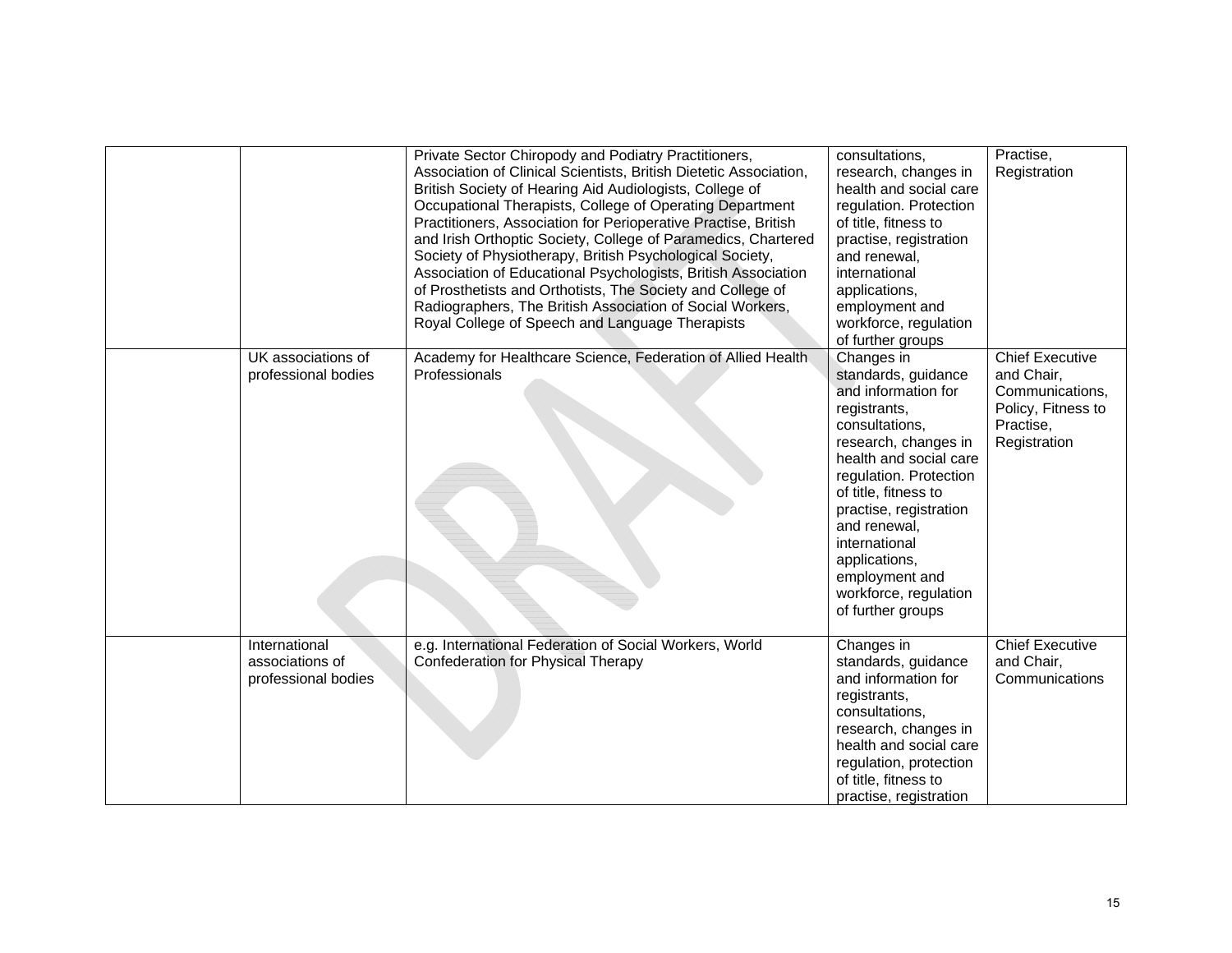|                                                         | Private Sector Chiropody and Podiatry Practitioners,<br>Association of Clinical Scientists, British Dietetic Association,<br>British Society of Hearing Aid Audiologists, College of<br>Occupational Therapists, College of Operating Department<br>Practitioners, Association for Perioperative Practise, British<br>and Irish Orthoptic Society, College of Paramedics, Chartered<br>Society of Physiotherapy, British Psychological Society,<br>Association of Educational Psychologists, British Association<br>of Prosthetists and Orthotists, The Society and College of<br>Radiographers, The British Association of Social Workers,<br>Royal College of Speech and Language Therapists | consultations,<br>research, changes in<br>health and social care<br>regulation. Protection<br>of title, fitness to<br>practise, registration<br>and renewal,<br>international<br>applications,<br>employment and<br>workforce, regulation<br>of further groups                                                                             | Practise,<br>Registration                                                                                  |
|---------------------------------------------------------|------------------------------------------------------------------------------------------------------------------------------------------------------------------------------------------------------------------------------------------------------------------------------------------------------------------------------------------------------------------------------------------------------------------------------------------------------------------------------------------------------------------------------------------------------------------------------------------------------------------------------------------------------------------------------------------------|--------------------------------------------------------------------------------------------------------------------------------------------------------------------------------------------------------------------------------------------------------------------------------------------------------------------------------------------|------------------------------------------------------------------------------------------------------------|
| UK associations of<br>professional bodies               | Academy for Healthcare Science, Federation of Allied Health<br>Professionals                                                                                                                                                                                                                                                                                                                                                                                                                                                                                                                                                                                                                   | Changes in<br>standards, guidance<br>and information for<br>registrants,<br>consultations,<br>research, changes in<br>health and social care<br>regulation. Protection<br>of title, fitness to<br>practise, registration<br>and renewal,<br>international<br>applications,<br>employment and<br>workforce, regulation<br>of further groups | <b>Chief Executive</b><br>and Chair,<br>Communications,<br>Policy, Fitness to<br>Practise,<br>Registration |
| International<br>associations of<br>professional bodies | e.g. International Federation of Social Workers, World<br>Confederation for Physical Therapy                                                                                                                                                                                                                                                                                                                                                                                                                                                                                                                                                                                                   | Changes in<br>standards, guidance<br>and information for<br>registrants,<br>consultations,<br>research, changes in<br>health and social care<br>regulation, protection<br>of title, fitness to<br>practise, registration                                                                                                                   | <b>Chief Executive</b><br>and Chair,<br>Communications                                                     |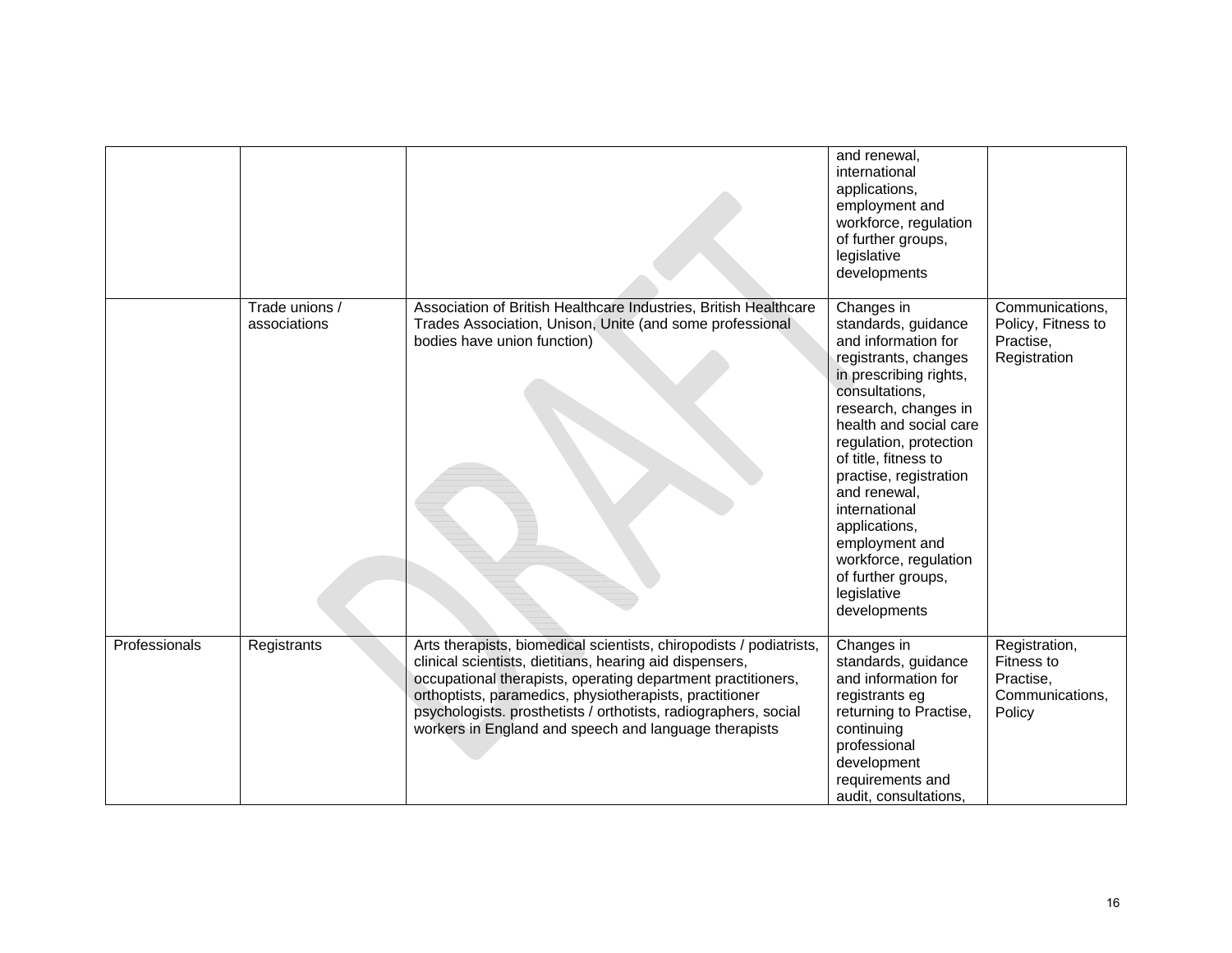|               |                                |                                                                                                                                                                                                                                                                                                                                                                                        | and renewal,<br>international<br>applications,<br>employment and<br>workforce, regulation<br>of further groups,<br>legislative<br>developments                                                                                                                                                                                                                                                               |                                                                       |
|---------------|--------------------------------|----------------------------------------------------------------------------------------------------------------------------------------------------------------------------------------------------------------------------------------------------------------------------------------------------------------------------------------------------------------------------------------|--------------------------------------------------------------------------------------------------------------------------------------------------------------------------------------------------------------------------------------------------------------------------------------------------------------------------------------------------------------------------------------------------------------|-----------------------------------------------------------------------|
|               | Trade unions /<br>associations | Association of British Healthcare Industries, British Healthcare<br>Trades Association, Unison, Unite (and some professional<br>bodies have union function)                                                                                                                                                                                                                            | Changes in<br>standards, guidance<br>and information for<br>registrants, changes<br>in prescribing rights,<br>consultations,<br>research, changes in<br>health and social care<br>regulation, protection<br>of title, fitness to<br>practise, registration<br>and renewal,<br>international<br>applications,<br>employment and<br>workforce, regulation<br>of further groups,<br>legislative<br>developments | Communications,<br>Policy, Fitness to<br>Practise,<br>Registration    |
| Professionals | Registrants                    | Arts therapists, biomedical scientists, chiropodists / podiatrists,<br>clinical scientists, dietitians, hearing aid dispensers,<br>occupational therapists, operating department practitioners,<br>orthoptists, paramedics, physiotherapists, practitioner<br>psychologists. prosthetists / orthotists, radiographers, social<br>workers in England and speech and language therapists | Changes in<br>standards, guidance<br>and information for<br>registrants eg<br>returning to Practise,<br>continuing<br>professional<br>development<br>requirements and<br>audit, consultations,                                                                                                                                                                                                               | Registration,<br>Fitness to<br>Practise,<br>Communications,<br>Policy |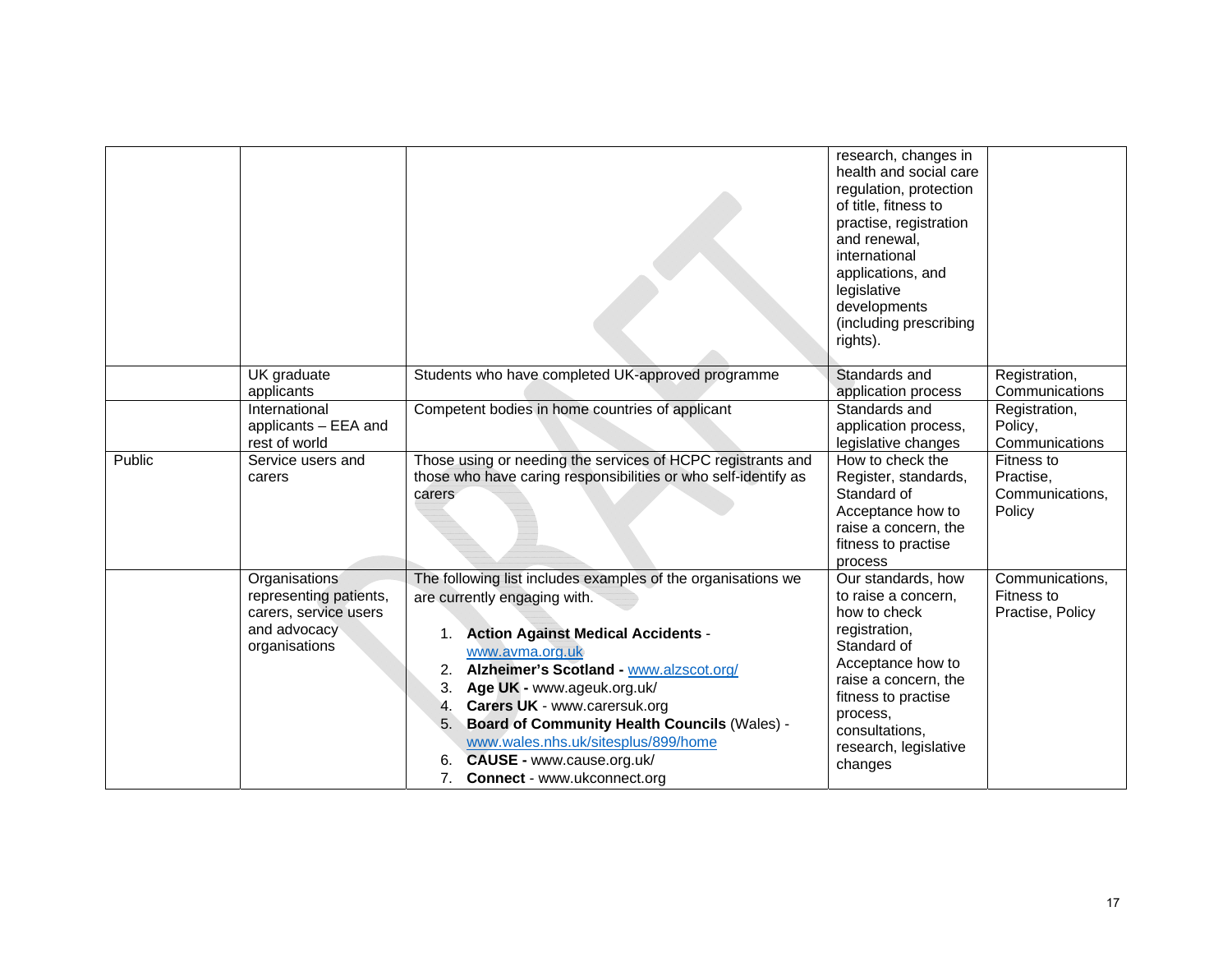|        |                                                                                                   |                                                                                                                                                                                                                                                                                                                                                                                                                                                                                  | research, changes in<br>health and social care<br>regulation, protection<br>of title, fitness to<br>practise, registration<br>and renewal,<br>international<br>applications, and<br>legislative<br>developments<br>(including prescribing<br>rights). |                                                      |
|--------|---------------------------------------------------------------------------------------------------|----------------------------------------------------------------------------------------------------------------------------------------------------------------------------------------------------------------------------------------------------------------------------------------------------------------------------------------------------------------------------------------------------------------------------------------------------------------------------------|-------------------------------------------------------------------------------------------------------------------------------------------------------------------------------------------------------------------------------------------------------|------------------------------------------------------|
|        | UK graduate<br>applicants                                                                         | Students who have completed UK-approved programme                                                                                                                                                                                                                                                                                                                                                                                                                                | Standards and<br>application process                                                                                                                                                                                                                  | Registration,<br>Communications                      |
|        | International<br>applicants - EEA and<br>rest of world                                            | Competent bodies in home countries of applicant                                                                                                                                                                                                                                                                                                                                                                                                                                  | Standards and<br>application process,<br>legislative changes                                                                                                                                                                                          | Registration,<br>Policy,<br>Communications           |
| Public | Service users and<br>carers                                                                       | Those using or needing the services of HCPC registrants and<br>those who have caring responsibilities or who self-identify as<br>carers                                                                                                                                                                                                                                                                                                                                          | How to check the<br>Register, standards,<br>Standard of<br>Acceptance how to<br>raise a concern, the<br>fitness to practise<br>process                                                                                                                | Fitness to<br>Practise,<br>Communications,<br>Policy |
|        | Organisations<br>representing patients,<br>carers, service users<br>and advocacy<br>organisations | The following list includes examples of the organisations we<br>are currently engaging with.<br><b>Action Against Medical Accidents -</b><br>1.<br>www.avma.org.uk<br>Alzheimer's Scotland - www.alzscot.org/<br>2.<br>Age UK - www.ageuk.org.uk/<br>3.<br>Carers UK - www.carersuk.org<br>4.<br><b>Board of Community Health Councils (Wales) -</b><br>5.<br>www.wales.nhs.uk/sitesplus/899/home<br>CAUSE - www.cause.org.uk/<br>6.<br>7.<br><b>Connect</b> - www.ukconnect.org | Our standards, how<br>to raise a concern,<br>how to check<br>registration,<br>Standard of<br>Acceptance how to<br>raise a concern, the<br>fitness to practise<br>process,<br>consultations,<br>research, legislative<br>changes                       | Communications,<br>Fitness to<br>Practise, Policy    |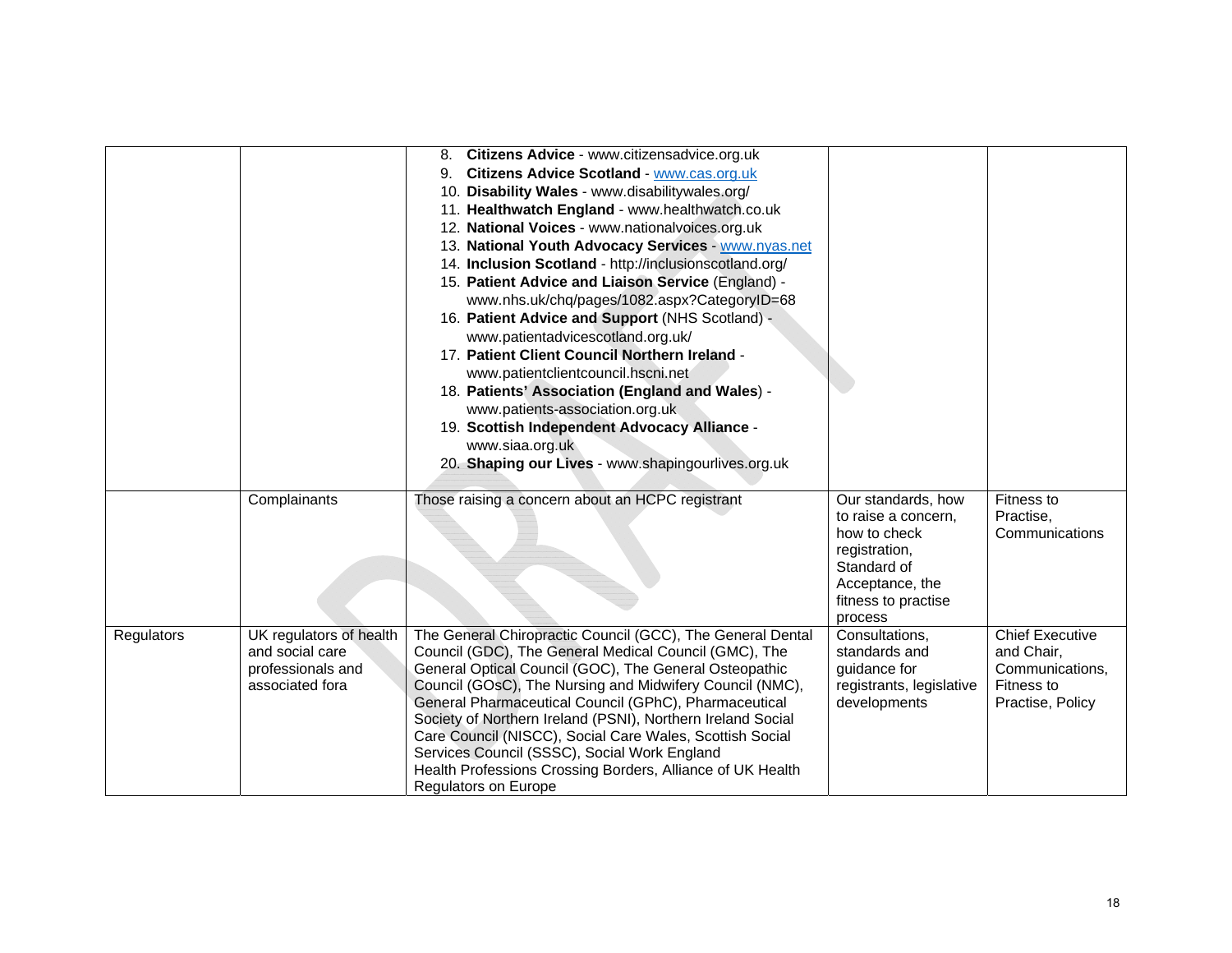|            |                         | 8. Citizens Advice - www.citizensadvice.org.uk              |                                           |                        |
|------------|-------------------------|-------------------------------------------------------------|-------------------------------------------|------------------------|
|            |                         | 9. Citizens Advice Scotland - www.cas.org.uk                |                                           |                        |
|            |                         | 10. Disability Wales - www.disabilitywales.org/             |                                           |                        |
|            |                         | 11. Healthwatch England - www.healthwatch.co.uk             |                                           |                        |
|            |                         | 12. National Voices - www.nationalvoices.org.uk             |                                           |                        |
|            |                         | 13. National Youth Advocacy Services - www.nyas.net         |                                           |                        |
|            |                         | 14. Inclusion Scotland - http://inclusionscotland.org/      |                                           |                        |
|            |                         | 15. Patient Advice and Liaison Service (England) -          |                                           |                        |
|            |                         | www.nhs.uk/chq/pages/1082.aspx?CategoryID=68                |                                           |                        |
|            |                         | 16. Patient Advice and Support (NHS Scotland) -             |                                           |                        |
|            |                         | www.patientadvicescotland.org.uk/                           |                                           |                        |
|            |                         | 17. Patient Client Council Northern Ireland -               |                                           |                        |
|            |                         | www.patientclientcouncil.hscni.net                          |                                           |                        |
|            |                         | 18. Patients' Association (England and Wales) -             |                                           |                        |
|            |                         | www.patients-association.org.uk                             |                                           |                        |
|            |                         | 19. Scottish Independent Advocacy Alliance -                |                                           |                        |
|            |                         | www.siaa.org.uk                                             |                                           |                        |
|            |                         | 20. Shaping our Lives - www.shapingourlives.org.uk          |                                           |                        |
|            | Complainants            | Those raising a concern about an HCPC registrant            |                                           | Fitness to             |
|            |                         |                                                             | Our standards, how<br>to raise a concern, | Practise,              |
|            |                         |                                                             | how to check                              | Communications         |
|            |                         |                                                             | registration,                             |                        |
|            |                         |                                                             | Standard of                               |                        |
|            |                         |                                                             | Acceptance, the                           |                        |
|            |                         |                                                             | fitness to practise                       |                        |
|            |                         |                                                             | process                                   |                        |
| Regulators | UK regulators of health | The General Chiropractic Council (GCC), The General Dental  | Consultations,                            | <b>Chief Executive</b> |
|            | and social care         | Council (GDC), The General Medical Council (GMC), The       | standards and                             | and Chair,             |
|            | professionals and       | General Optical Council (GOC), The General Osteopathic      | guidance for                              | Communications,        |
|            | associated fora         | Council (GOsC), The Nursing and Midwifery Council (NMC),    | registrants, legislative                  | Fitness to             |
|            |                         | General Pharmaceutical Council (GPhC), Pharmaceutical       | developments                              | Practise, Policy       |
|            |                         | Society of Northern Ireland (PSNI), Northern Ireland Social |                                           |                        |
|            |                         | Care Council (NISCC), Social Care Wales, Scottish Social    |                                           |                        |
|            |                         | Services Council (SSSC), Social Work England                |                                           |                        |
|            |                         | Health Professions Crossing Borders, Alliance of UK Health  |                                           |                        |
|            |                         | Regulators on Europe                                        |                                           |                        |